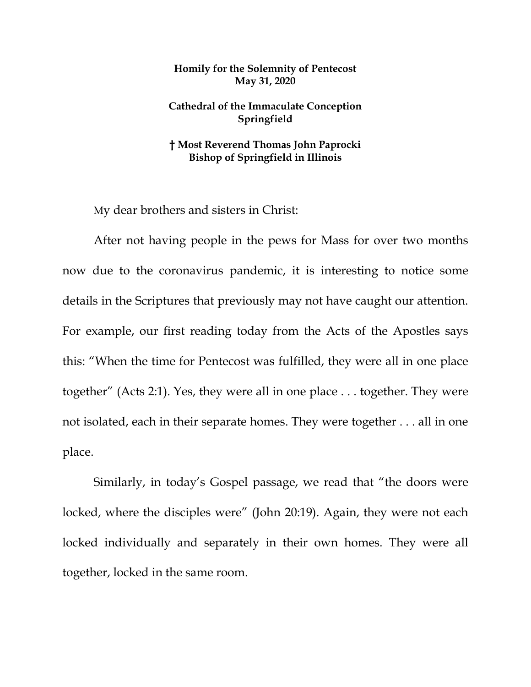## **Homily for the Solemnity of Pentecost May 31, 2020**

## **Cathedral of the Immaculate Conception Springfield**

## **† Most Reverend Thomas John Paprocki Bishop of Springfield in Illinois**

My dear brothers and sisters in Christ:

After not having people in the pews for Mass for over two months now due to the coronavirus pandemic, it is interesting to notice some details in the Scriptures that previously may not have caught our attention. For example, our first reading today from the Acts of the Apostles says this: "When the time for Pentecost was fulfilled, they were all in one place together" (Acts 2:1). Yes, they were all in one place . . . together. They were not isolated, each in their separate homes. They were together . . . all in one place.

Similarly, in today's Gospel passage, we read that "the doors were locked, where the disciples were" (John 20:19). Again, they were not each locked individually and separately in their own homes. They were all together, locked in the same room.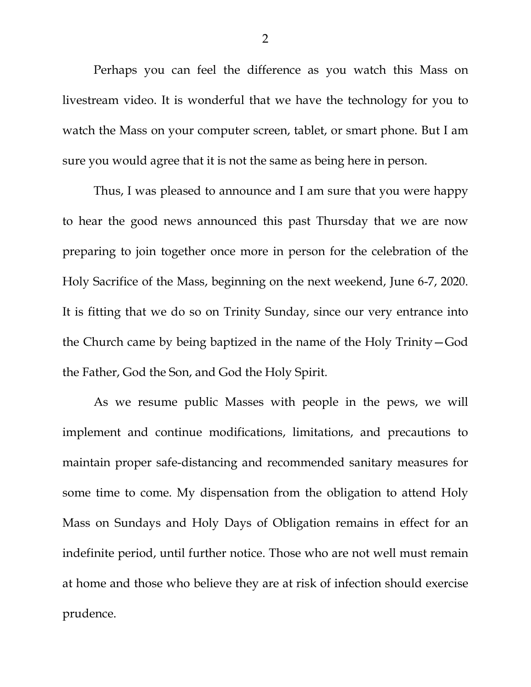Perhaps you can feel the difference as you watch this Mass on livestream video. It is wonderful that we have the technology for you to watch the Mass on your computer screen, tablet, or smart phone. But I am sure you would agree that it is not the same as being here in person.

Thus, I was pleased to announce and I am sure that you were happy to hear the good news announced this past Thursday that we are now preparing to join together once more in person for the celebration of the Holy Sacrifice of the Mass, beginning on the next weekend, June 6-7, 2020. It is fitting that we do so on Trinity Sunday, since our very entrance into the Church came by being baptized in the name of the Holy Trinity—God the Father, God the Son, and God the Holy Spirit.

As we resume public Masses with people in the pews, we will implement and continue modifications, limitations, and precautions to maintain proper safe-distancing and recommended sanitary measures for some time to come. My dispensation from the obligation to attend Holy Mass on Sundays and Holy Days of Obligation remains in effect for an indefinite period, until further notice. Those who are not well must remain at home and those who believe they are at risk of infection should exercise prudence.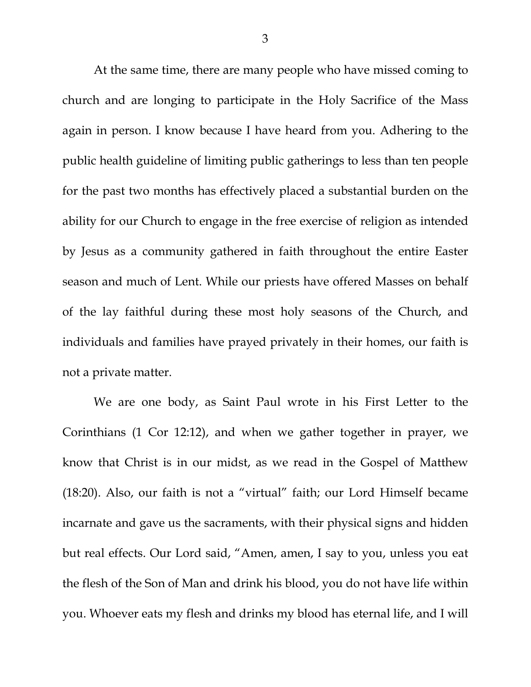At the same time, there are many people who have missed coming to church and are longing to participate in the Holy Sacrifice of the Mass again in person. I know because I have heard from you. Adhering to the public health guideline of limiting public gatherings to less than ten people for the past two months has effectively placed a substantial burden on the ability for our Church to engage in the free exercise of religion as intended by Jesus as a community gathered in faith throughout the entire Easter season and much of Lent. While our priests have offered Masses on behalf of the lay faithful during these most holy seasons of the Church, and individuals and families have prayed privately in their homes, our faith is not a private matter.

We are one body, as Saint Paul wrote in his First Letter to the Corinthians (1 Cor 12:12), and when we gather together in prayer, we know that Christ is in our midst, as we read in the Gospel of Matthew (18:20). Also, our faith is not a "virtual" faith; our Lord Himself became incarnate and gave us the sacraments, with their physical signs and hidden but real effects. Our Lord said, "Amen, amen, I say to you, unless you eat the flesh of the Son of Man and drink his blood, you do not have life within you. Whoever eats my flesh and drinks my blood has eternal life, and I will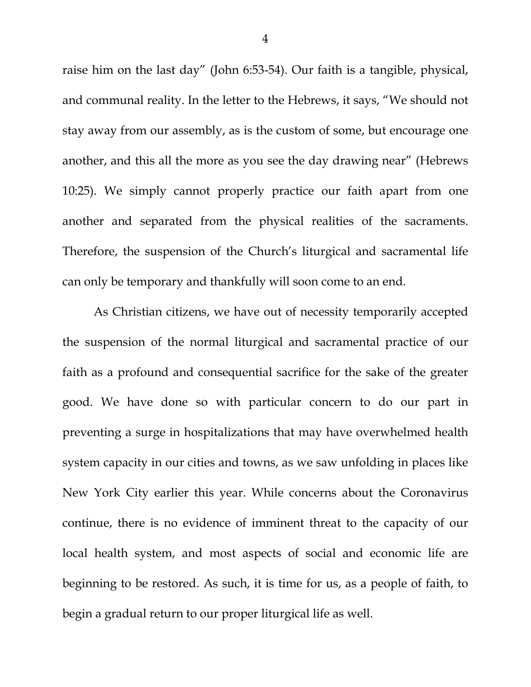raise him on the last day" (John 6:53-54). Our faith is a tangible, physical, and communal reality. In the letter to the Hebrews, it says, "We should not stay away from our assembly, as is the custom of some, but encourage one another, and this all the more as you see the day drawing near" (Hebrews 10:25). We simply cannot properly practice our faith apart from one another and separated from the physical realities of the sacraments. Therefore, the suspension of the Church's liturgical and sacramental life can only be temporary and thankfully will soon come to an end.

As Christian citizens, we have out of necessity temporarily accepted the suspension of the normal liturgical and sacramental practice of our faith as a profound and consequential sacrifice for the sake of the greater good. We have done so with particular concern to do our part in preventing a surge in hospitalizations that may have overwhelmed health system capacity in our cities and towns, as we saw unfolding in places like New York City earlier this year. While concerns about the Coronavirus continue, there is no evidence of imminent threat to the capacity of our local health system, and most aspects of social and economic life are beginning to be restored. As such, it is time for us, as a people of faith, to begin a gradual return to our proper liturgical life as well.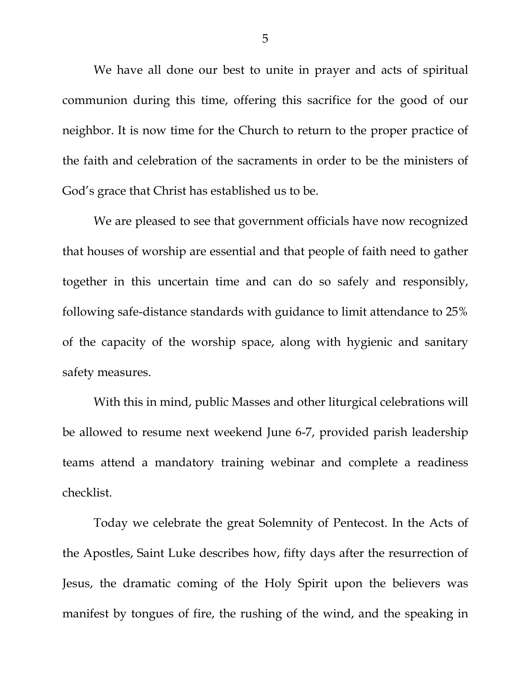We have all done our best to unite in prayer and acts of spiritual communion during this time, offering this sacrifice for the good of our neighbor. It is now time for the Church to return to the proper practice of the faith and celebration of the sacraments in order to be the ministers of God's grace that Christ has established us to be.

We are pleased to see that government officials have now recognized that houses of worship are essential and that people of faith need to gather together in this uncertain time and can do so safely and responsibly, following safe-distance standards with guidance to limit attendance to 25% of the capacity of the worship space, along with hygienic and sanitary safety measures.

With this in mind, public Masses and other liturgical celebrations will be allowed to resume next weekend June 6-7, provided parish leadership teams attend a mandatory training webinar and complete a readiness checklist.

Today we celebrate the great Solemnity of Pentecost. In the Acts of the Apostles, Saint Luke describes how, fifty days after the resurrection of Jesus, the dramatic coming of the Holy Spirit upon the believers was manifest by tongues of fire, the rushing of the wind, and the speaking in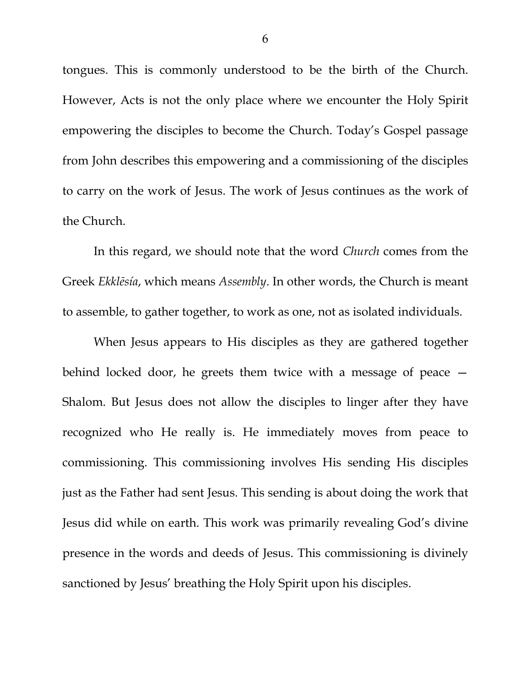tongues. This is commonly understood to be the birth of the Church. However, Acts is not the only place where we encounter the Holy Spirit empowering the disciples to become the Church. Today's Gospel passage from John describes this empowering and a commissioning of the disciples to carry on the work of Jesus. The work of Jesus continues as the work of the Church.

In this regard, we should note that the word *Church* comes from the Greek *Ekklēsía*, which means *Assembly*. In other words, the Church is meant to assemble, to gather together, to work as one, not as isolated individuals.

When Jesus appears to His disciples as they are gathered together behind locked door, he greets them twice with a message of peace — Shalom. But Jesus does not allow the disciples to linger after they have recognized who He really is. He immediately moves from peace to commissioning. This commissioning involves His sending His disciples just as the Father had sent Jesus. This sending is about doing the work that Jesus did while on earth. This work was primarily revealing God's divine presence in the words and deeds of Jesus. This commissioning is divinely sanctioned by Jesus' breathing the Holy Spirit upon his disciples.

6